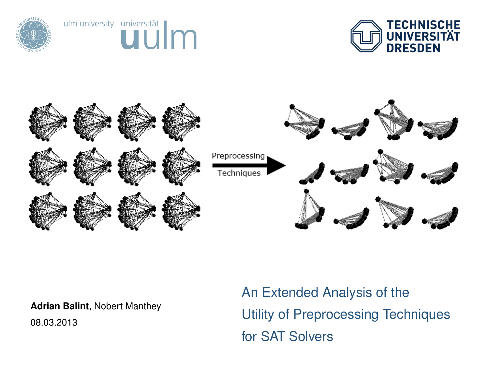







**Adrian Balint**, Nobert Manthey

<span id="page-0-0"></span>08.03.2013

An Extended Analysis of the Utility of Preprocessing Techniques for SAT Solvers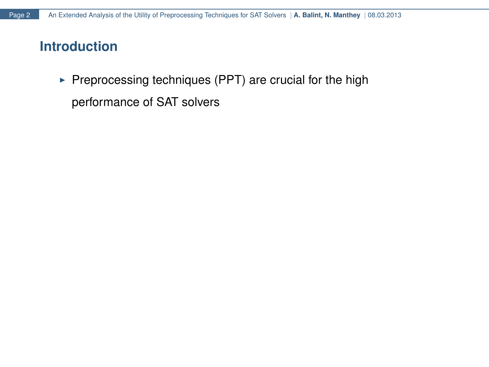$\triangleright$  Preprocessing techniques (PPT) are crucial for the high performance of SAT solvers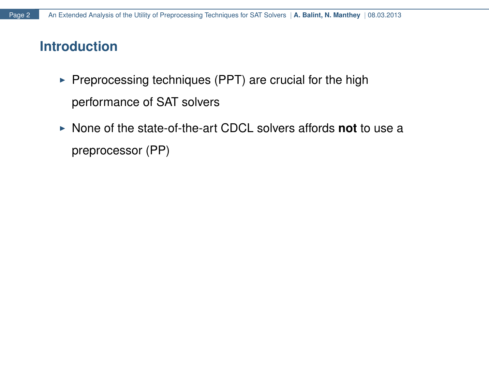- $\triangleright$  Preprocessing techniques (PPT) are crucial for the high performance of SAT solvers
- ▶ None of the state-of-the-art CDCL solvers affords **not** to use a preprocessor (PP)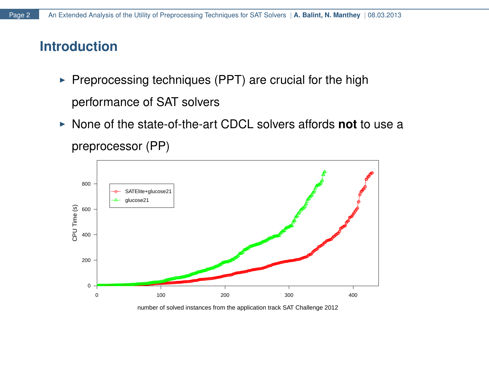- $\triangleright$  Preprocessing techniques (PPT) are crucial for the high performance of SAT solvers
- ▶ None of the state-of-the-art CDCL solvers affords **not** to use a preprocessor (PP)



number of solved instances from the application track SAT Challenge 2012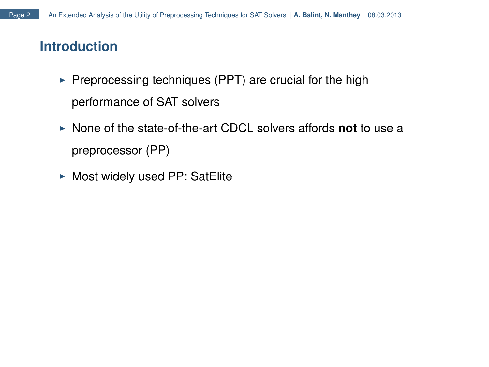- $\triangleright$  Preprocessing techniques (PPT) are crucial for the high performance of SAT solvers
- ▶ None of the state-of-the-art CDCL solvers affords not to use a preprocessor (PP)
- $\triangleright$  Most widely used PP: SatElite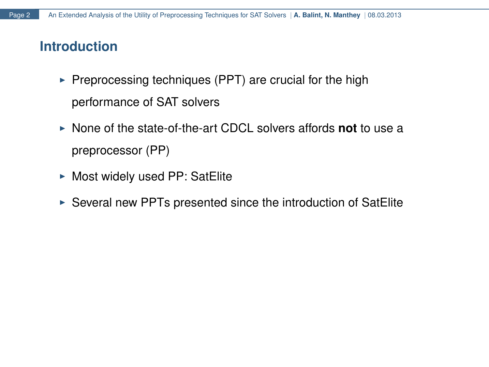- $\triangleright$  Preprocessing techniques (PPT) are crucial for the high performance of SAT solvers
- ▶ None of the state-of-the-art CDCL solvers affords **not** to use a preprocessor (PP)
- $\triangleright$  Most widely used PP: SatElite
- $\triangleright$  Several new PPTs presented since the introduction of SatElite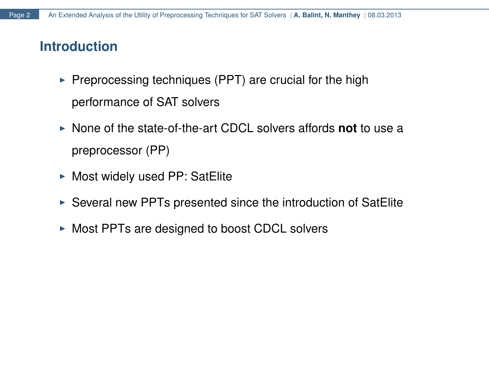- $\triangleright$  Preprocessing techniques (PPT) are crucial for the high performance of SAT solvers
- ▶ None of the state-of-the-art CDCL solvers affords **not** to use a preprocessor (PP)
- $\triangleright$  Most widely used PP: SatElite
- $\triangleright$  Several new PPTs presented since the introduction of SatElite
- $\triangleright$  Most PPTs are designed to boost CDCL solvers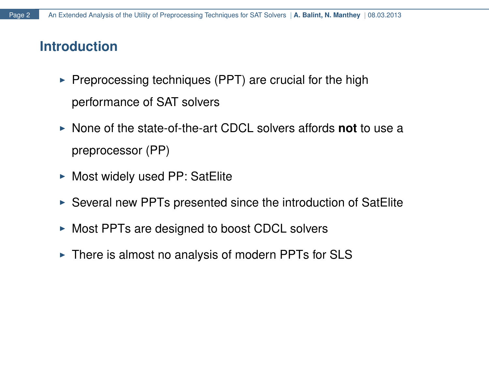- $\triangleright$  Preprocessing techniques (PPT) are crucial for the high performance of SAT solvers
- ▶ None of the state-of-the-art CDCL solvers affords **not** to use a preprocessor (PP)
- $\triangleright$  Most widely used PP: SatElite
- $\triangleright$  Several new PPTs presented since the introduction of SatElite
- $\triangleright$  Most PPTs are designed to boost CDCL solvers
- $\triangleright$  There is almost no analysis of modern PPTs for SLS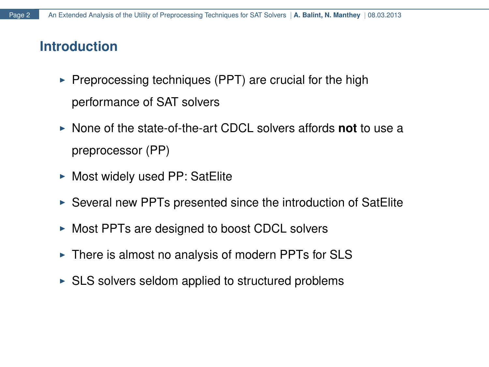- $\triangleright$  Preprocessing techniques (PPT) are crucial for the high performance of SAT solvers
- ▶ None of the state-of-the-art CDCL solvers affords **not** to use a preprocessor (PP)
- $\triangleright$  Most widely used PP: SatElite
- $\triangleright$  Several new PPTs presented since the introduction of SatElite
- $\triangleright$  Most PPTs are designed to boost CDCL solvers
- $\triangleright$  There is almost no analysis of modern PPTs for SLS
- $\triangleright$  SLS solvers seldom applied to structured problems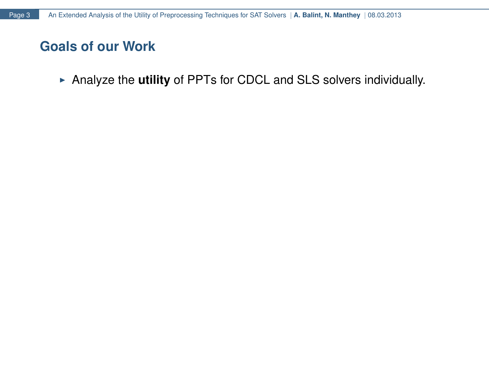▶ Analyze the utility of PPTs for CDCL and SLS solvers individually.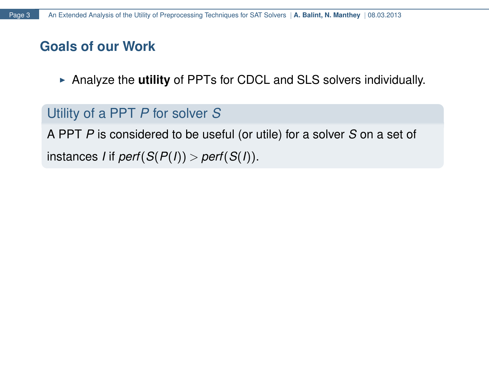► Analyze the **utility** of PPTs for CDCL and SLS solvers individually.

# Utility of a PPT *P* for solver *S*

A PPT *P* is considered to be useful (or utile) for a solver *S* on a set of instances *I* if *perf*( $S(P(I)) >$  *perf*( $S(I)$ ).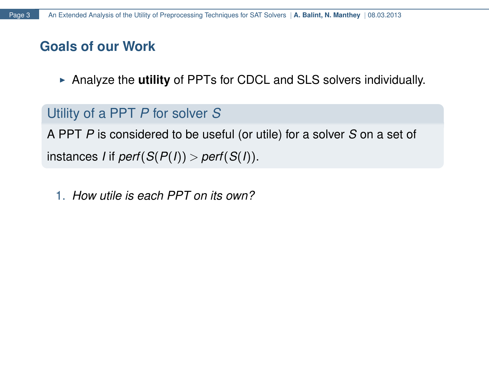► Analyze the **utility** of PPTs for CDCL and SLS solvers individually.

# Utility of a PPT *P* for solver *S*

A PPT *P* is considered to be useful (or utile) for a solver *S* on a set of instances *I* if *perf*( $S(P(I)) >$  *perf*( $S(I)$ ).

1. *How utile is each PPT on its own?*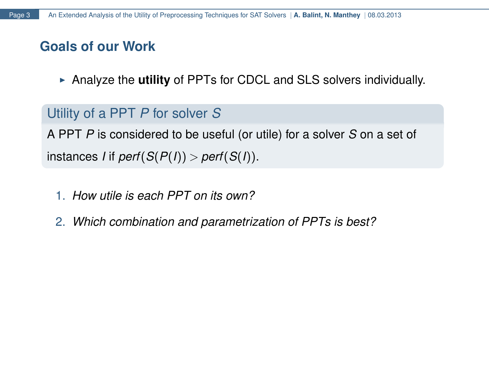► Analyze the **utility** of PPTs for CDCL and SLS solvers individually.

# Utility of a PPT *P* for solver *S*

A PPT *P* is considered to be useful (or utile) for a solver *S* on a set of instances *I* if *perf*( $S(P(I)) >$  *perf*( $S(I)$ ).

- 1. *How utile is each PPT on its own?*
- 2. *Which combination and parametrization of PPTs is best?*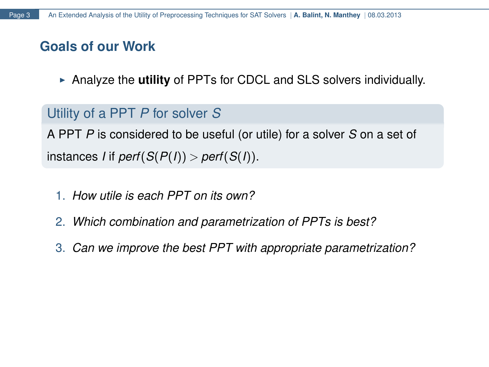► Analyze the **utility** of PPTs for CDCL and SLS solvers individually.

# Utility of a PPT *P* for solver *S*

A PPT *P* is considered to be useful (or utile) for a solver *S* on a set of  $S(F(I)) >$  *perf* $(S(P(I)) >$  *perf* $(S(I))$ .

- 1. *How utile is each PPT on its own?*
- 2. *Which combination and parametrization of PPTs is best?*
- 3. *Can we improve the best PPT with appropriate parametrization?*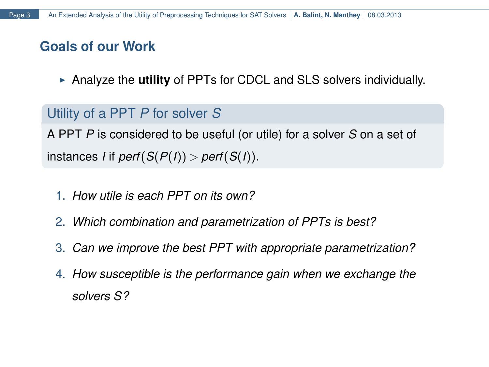► Analyze the **utility** of PPTs for CDCL and SLS solvers individually.

# Utility of a PPT *P* for solver *S*

A PPT *P* is considered to be useful (or utile) for a solver *S* on a set of  $S(F(I)) >$  *perf* $(S(P(I)) >$  *perf* $(S(I))$ .

- 1. *How utile is each PPT on its own?*
- 2. *Which combination and parametrization of PPTs is best?*
- 3. *Can we improve the best PPT with appropriate parametrization?*
- 4. *How susceptible is the performance gain when we exchange the solvers S?*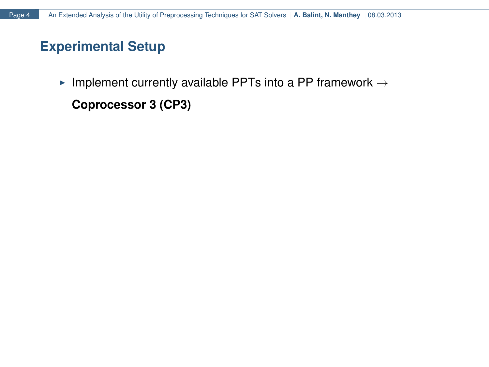Implement currently available PPTs into a PP framework  $\rightarrow$ 

**Coprocessor 3 (CP3)**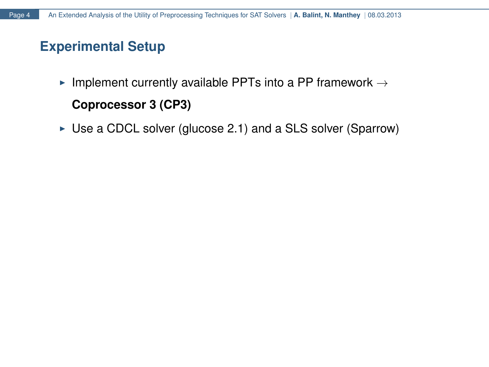- Implement currently available PPTs into a PP framework  $\rightarrow$ **Coprocessor 3 (CP3)**
- $\triangleright$  Use a CDCL solver (glucose 2.1) and a SLS solver (Sparrow)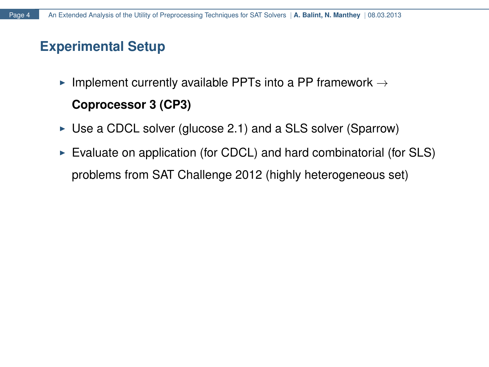- Implement currently available PPTs into a PP framework  $\rightarrow$ **Coprocessor 3 (CP3)**
- $\triangleright$  Use a CDCL solver (glucose 2.1) and a SLS solver (Sparrow)
- $\triangleright$  Evaluate on application (for CDCL) and hard combinatorial (for SLS) problems from SAT Challenge 2012 (highly heterogeneous set)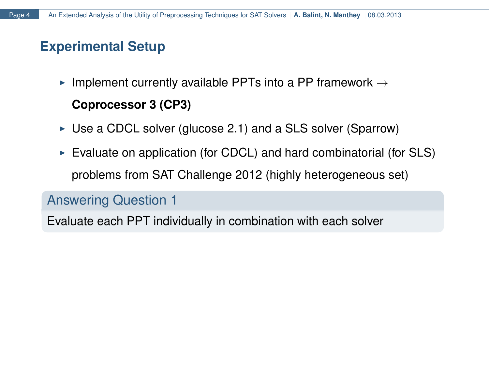- Implement currently available PPTs into a PP framework  $\rightarrow$ **Coprocessor 3 (CP3)**
- $\triangleright$  Use a CDCL solver (glucose 2.1) and a SLS solver (Sparrow)
- $\triangleright$  Evaluate on application (for CDCL) and hard combinatorial (for SLS) problems from SAT Challenge 2012 (highly heterogeneous set)

### Answering Question 1

Evaluate each PPT individually in combination with each solver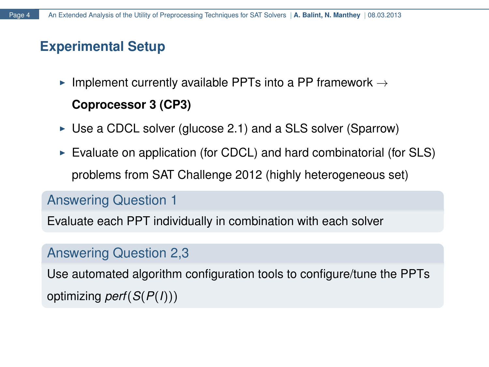- Implement currently available PPTs into a PP framework  $\rightarrow$ **Coprocessor 3 (CP3)**
- $\triangleright$  Use a CDCL solver (glucose 2.1) and a SLS solver (Sparrow)
- $\triangleright$  Evaluate on application (for CDCL) and hard combinatorial (for SLS) problems from SAT Challenge 2012 (highly heterogeneous set)

### Answering Question 1

Evaluate each PPT individually in combination with each solver

# Answering Question 2,3

Use automated algorithm configuration tools to configure/tune the PPTs optimizing *perf*(*S*(*P*(*I*)))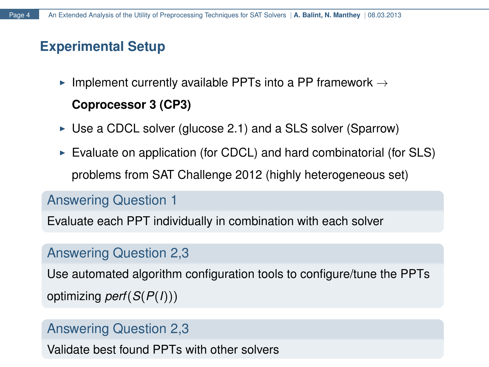- Implement currently available PPTs into a PP framework  $\rightarrow$ **Coprocessor 3 (CP3)**
- $\triangleright$  Use a CDCL solver (glucose 2.1) and a SLS solver (Sparrow)
- $\triangleright$  Evaluate on application (for CDCL) and hard combinatorial (for SLS) problems from SAT Challenge 2012 (highly heterogeneous set)

### Answering Question 1

Evaluate each PPT individually in combination with each solver

# Answering Question 2,3

Use automated algorithm configuration tools to configure/tune the PPTs optimizing *perf*(*S*(*P*(*I*)))

### Answering Question 2,3

Validate best found PPTs with other solvers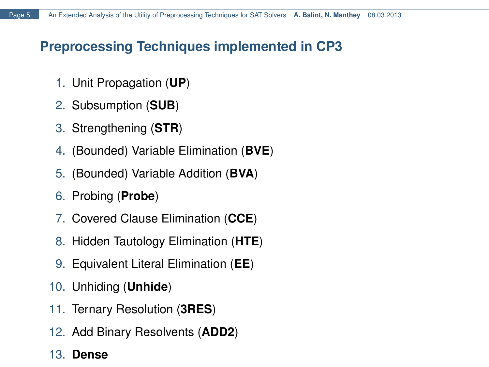# **Preprocessing Techniques implemented in CP3**

- 1. Unit Propagation (**UP**)
- 2. Subsumption (**SUB**)
- 3. Strengthening (**STR**)
- 4. (Bounded) Variable Elimination (**BVE**)
- 5. (Bounded) Variable Addition (**BVA**)
- 6. Probing (**Probe**)
- 7. Covered Clause Elimination (**CCE**)
- 8. Hidden Tautology Elimination (**HTE**)
- 9. Equivalent Literal Elimination (**EE**)
- 10. Unhiding (**Unhide**)
- 11. Ternary Resolution (**3RES**)
- 12. Add Binary Resolvents (**ADD2**)

### 13. **Dense**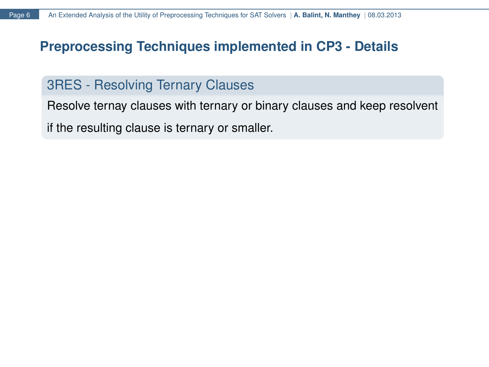## **Preprocessing Techniques implemented in CP3 - Details**

# 3RES - Resolving Ternary Clauses

Resolve ternay clauses with ternary or binary clauses and keep resolvent if the resulting clause is ternary or smaller.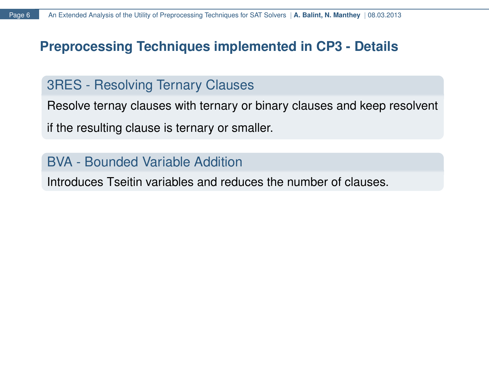# **Preprocessing Techniques implemented in CP3 - Details**

# 3RES - Resolving Ternary Clauses

Resolve ternay clauses with ternary or binary clauses and keep resolvent if the resulting clause is ternary or smaller.

# BVA - Bounded Variable Addition

Introduces Tseitin variables and reduces the number of clauses.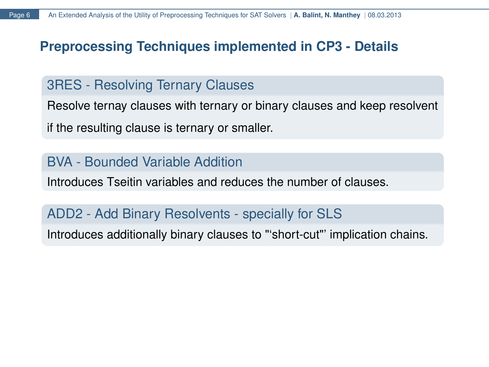# **Preprocessing Techniques implemented in CP3 - Details**

### 3RES - Resolving Ternary Clauses

Resolve ternay clauses with ternary or binary clauses and keep resolvent if the resulting clause is ternary or smaller.

### BVA - Bounded Variable Addition

Introduces Tseitin variables and reduces the number of clauses.

# ADD2 - Add Binary Resolvents - specially for SLS

Introduces additionally binary clauses to "'short-cut"' implication chains.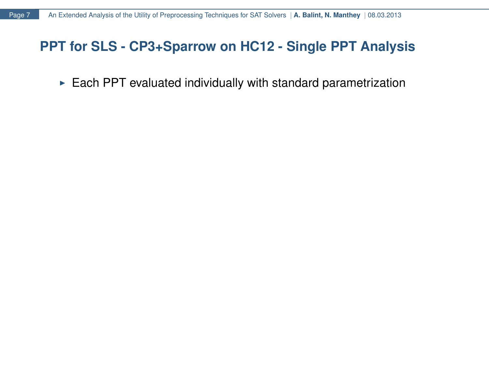$\triangleright$  Each PPT evaluated individually with standard parametrization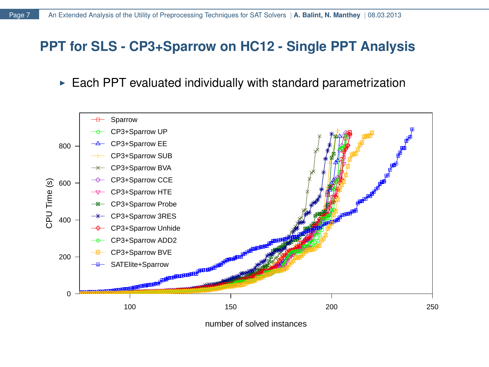$\triangleright$  Each PPT evaluated individually with standard parametrization



number of solved instances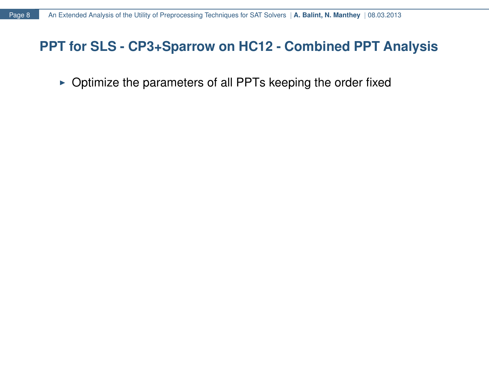$\triangleright$  Optimize the parameters of all PPTs keeping the order fixed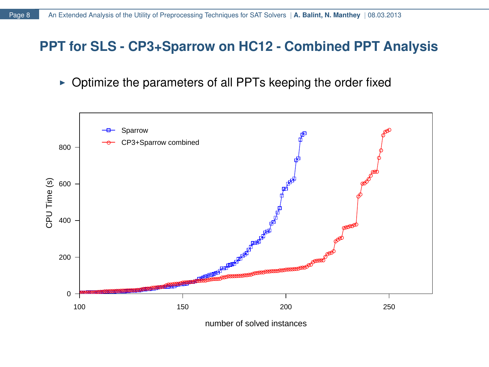$\triangleright$  Optimize the parameters of all PPTs keeping the order fixed

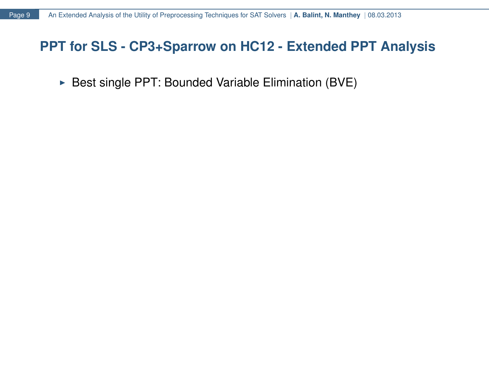$\triangleright$  Best single PPT: Bounded Variable Elimination (BVE)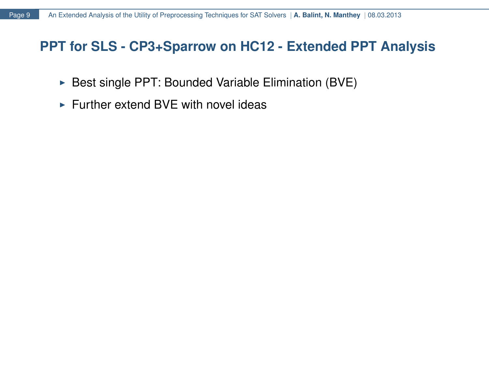- $\triangleright$  Best single PPT: Bounded Variable Elimination (BVE)
- $\triangleright$  Further extend BVE with novel ideas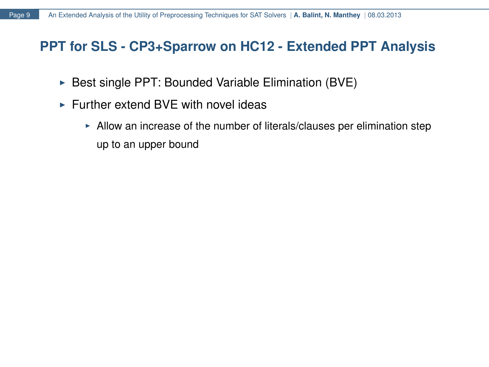- $\triangleright$  Best single PPT: Bounded Variable Elimination (BVE)
- $\triangleright$  Further extend BVE with novel ideas
	- $\blacktriangleright$  Allow an increase of the number of literals/clauses per elimination step up to an upper bound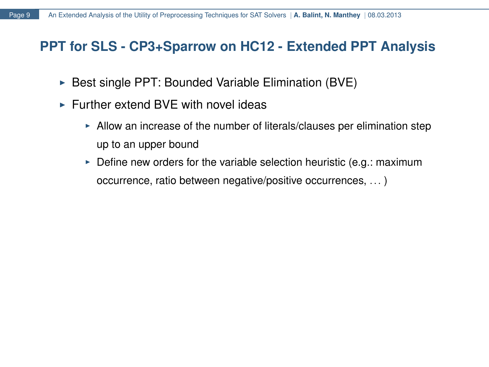- $\triangleright$  Best single PPT: Bounded Variable Elimination (BVE)
- $\triangleright$  Further extend BVE with novel ideas
	- $\blacktriangleright$  Allow an increase of the number of literals/clauses per elimination step up to an upper bound
	- $\triangleright$  Define new orders for the variable selection heuristic (e.g.: maximum occurrence, ratio between negative/positive occurrences, ... )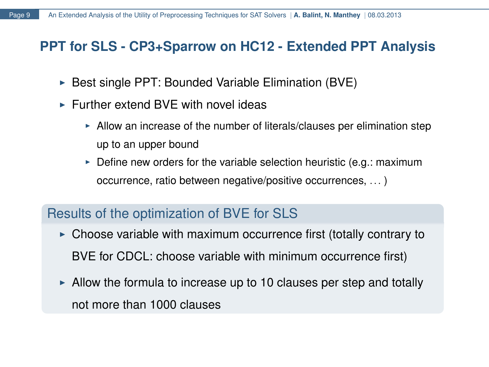- $\triangleright$  Best single PPT: Bounded Variable Elimination (BVE)
- $\triangleright$  Further extend BVE with novel ideas
	- $\blacktriangleright$  Allow an increase of the number of literals/clauses per elimination step up to an upper bound
	- $\triangleright$  Define new orders for the variable selection heuristic (e.g.: maximum occurrence, ratio between negative/positive occurrences, ... )

### Results of the optimization of BVE for SLS

- $\triangleright$  Choose variable with maximum occurrence first (totally contrary to BVE for CDCL: choose variable with minimum occurrence first)
- $\blacktriangleright$  Allow the formula to increase up to 10 clauses per step and totally not more than 1000 clauses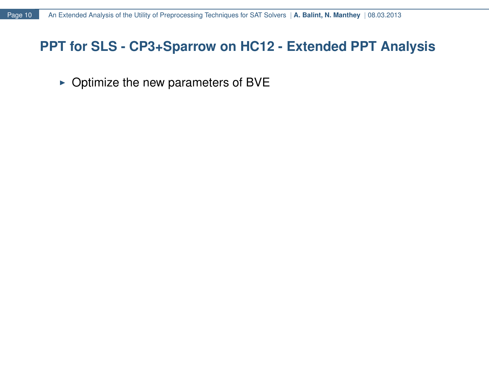$\triangleright$  Optimize the new parameters of BVE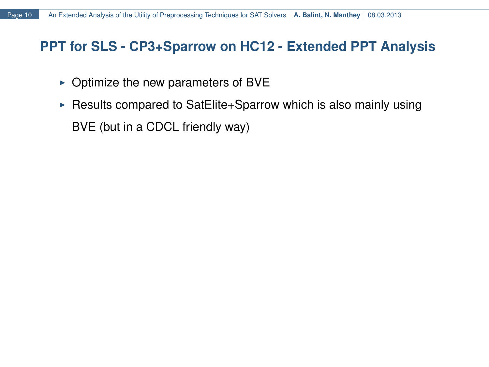- $\triangleright$  Optimize the new parameters of BVE
- Execults compared to SatElite+Sparrow which is also mainly using BVE (but in a CDCL friendly way)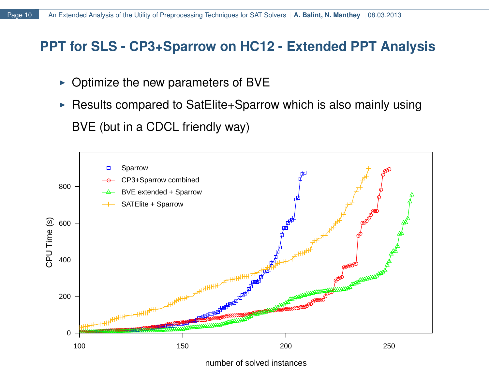- $\triangleright$  Optimize the new parameters of BVE
- Execults compared to SatElite+Sparrow which is also mainly using BVE (but in a CDCL friendly way)



number of solved instances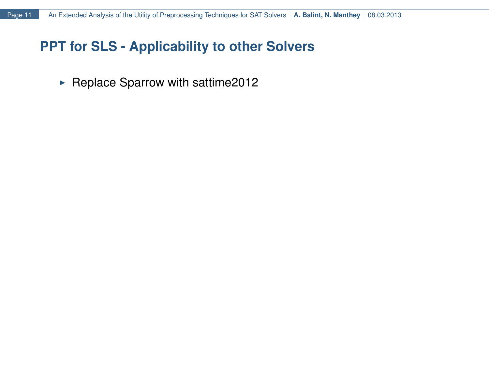# **PPT for SLS - Applicability to other Solvers**

 $\blacktriangleright$  Replace Sparrow with sattime2012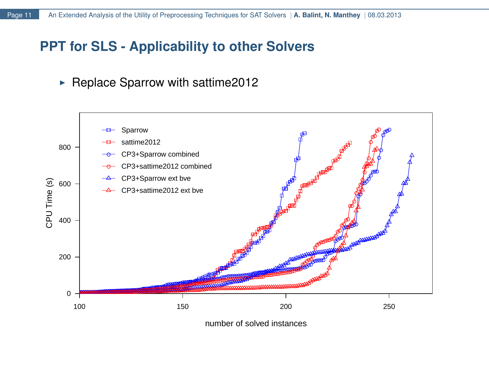# **PPT for SLS - Applicability to other Solvers**

 $\blacktriangleright$  Replace Sparrow with sattime2012

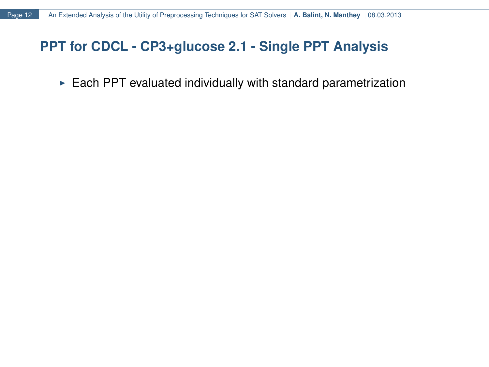$\triangleright$  Each PPT evaluated individually with standard parametrization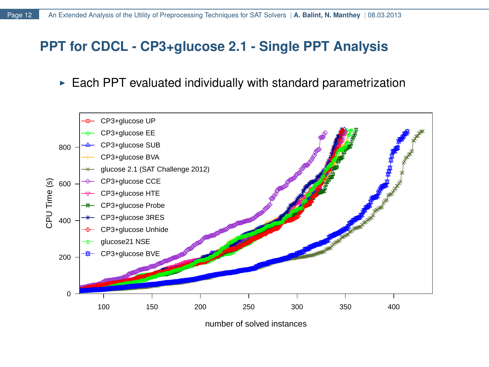$\triangleright$  Each PPT evaluated individually with standard parametrization



number of solved instances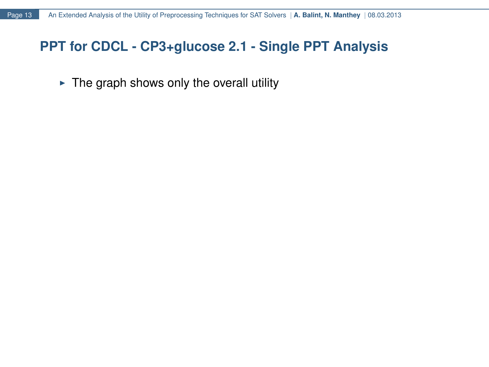$\triangleright$  The graph shows only the overall utility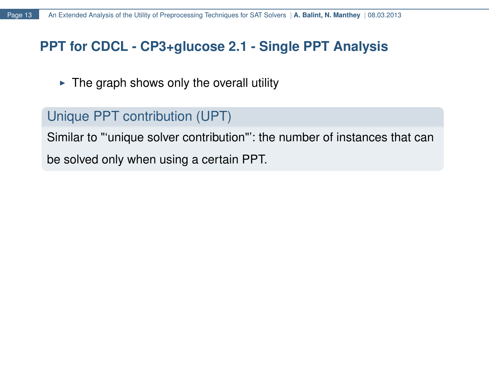$\triangleright$  The graph shows only the overall utility

# Unique PPT contribution (UPT)

Similar to "'unique solver contribution"': the number of instances that can be solved only when using a certain PPT.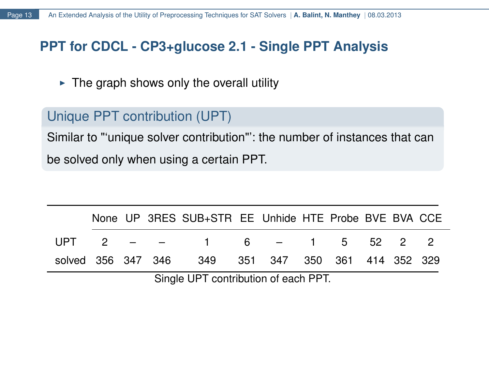$\triangleright$  The graph shows only the overall utility

# Unique PPT contribution (UPT)

Similar to "'unique solver contribution"': the number of instances that can be solved only when using a certain PPT.

|                                      |  |  |  | None UP 3RES SUB+STR EE Unhide HTE Probe BVE BVA CCE |  |  |  |  |  |  |  |
|--------------------------------------|--|--|--|------------------------------------------------------|--|--|--|--|--|--|--|
|                                      |  |  |  | UPT 2 $ -$ 1 6 $-$ 1 5 52 2 2                        |  |  |  |  |  |  |  |
|                                      |  |  |  | solved 356 347 346 349 351 347 350 361 414 352 329   |  |  |  |  |  |  |  |
| Single UPT contribution of each PPT. |  |  |  |                                                      |  |  |  |  |  |  |  |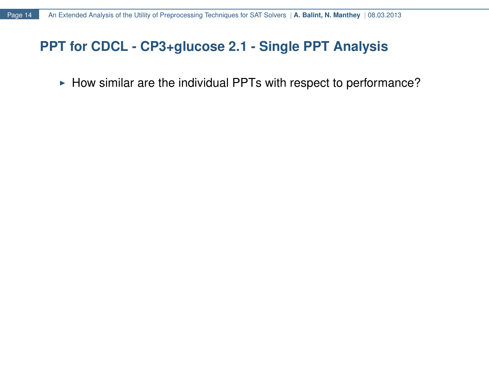# **PPT for CDCL - CP3+glucose 2.1 - Single PPT Analysis** Extended Analysis of the Utility of Preprocessing Techniques for SAT Solvers | A. Balint, N. Manthey | 08.03.2013<br> **T** for CDCL - CP3+glucose 2.1 - Single PPT Analysis<br>
► How similar are the individual PPTs with respect to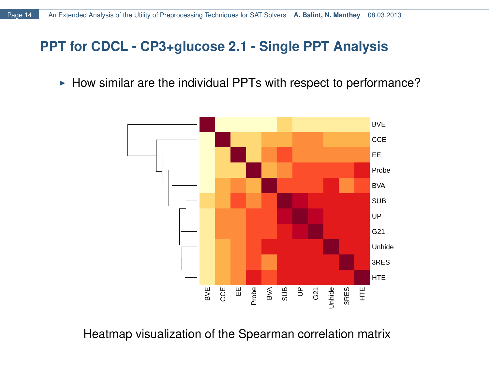$\blacktriangleright$  How similar are the individual PPTs with respect to performance?



Heatmap visualization of the Spearman correlation matrix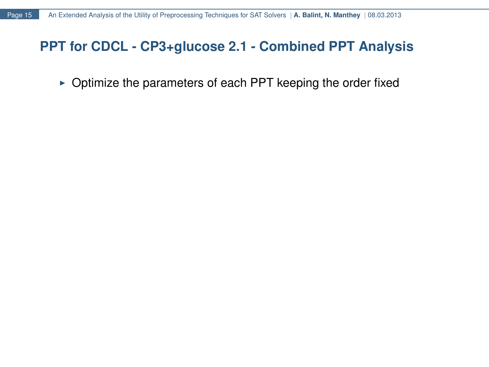$\triangleright$  Optimize the parameters of each PPT keeping the order fixed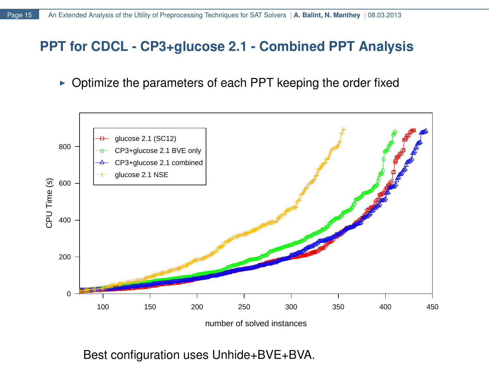$\triangleright$  Optimize the parameters of each PPT keeping the order fixed



Best configuration uses Unhide+BVE+BVA.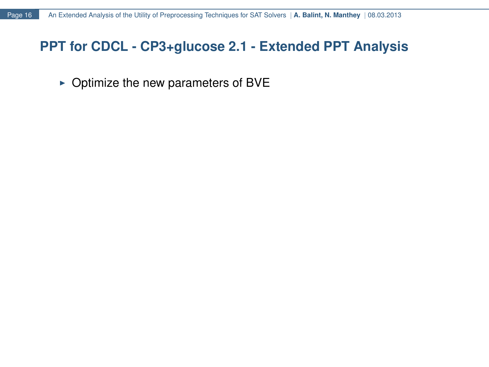$\triangleright$  Optimize the new parameters of BVE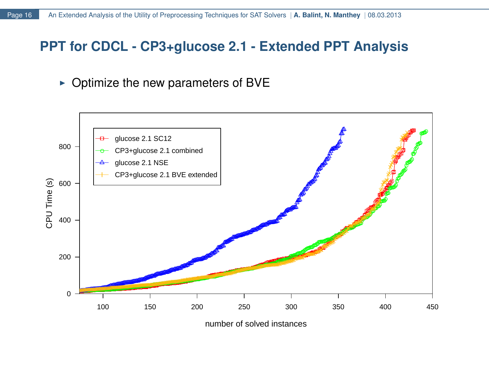$\triangleright$  Optimize the new parameters of BVE

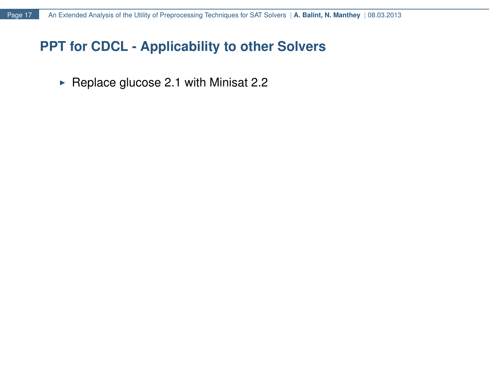# **PPT for CDCL - Applicability to other Solvers**

 $\blacktriangleright$  Replace glucose 2.1 with Minisat 2.2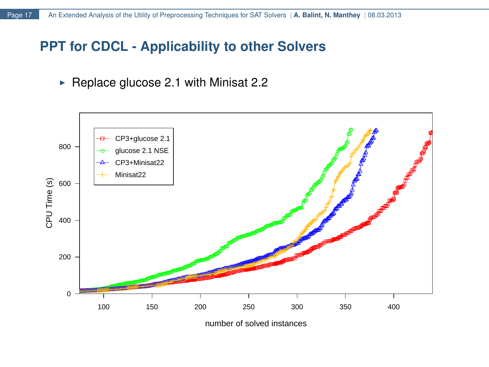# **PPT for CDCL - Applicability to other Solvers**

Replace glucose 2.1 with Minisat 2.2



number of solved instances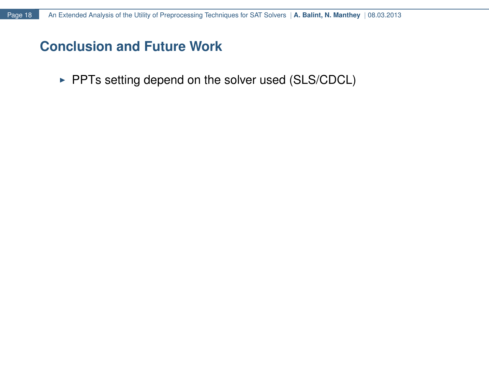PPTs setting depend on the solver used (SLS/CDCL)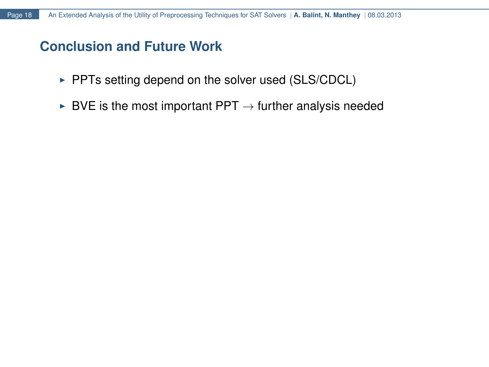- PPTs setting depend on the solver used (SLS/CDCL)
- $\triangleright$  BVE is the most important PPT  $\rightarrow$  further analysis needed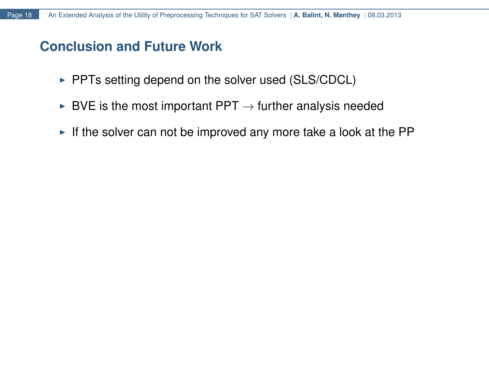- $\triangleright$  PPTs setting depend on the solver used (SLS/CDCL)
- $\triangleright$  BVE is the most important PPT  $\rightarrow$  further analysis needed
- If the solver can not be improved any more take a look at the PP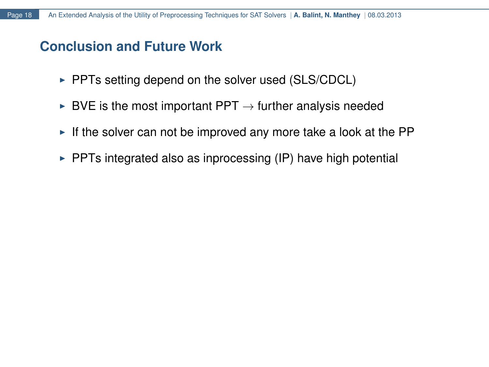- $\triangleright$  PPTs setting depend on the solver used (SLS/CDCL)
- $\triangleright$  BVE is the most important PPT  $\rightarrow$  further analysis needed
- $\blacktriangleright$  If the solver can not be improved any more take a look at the PP
- $\triangleright$  PPTs integrated also as inprocessing (IP) have high potential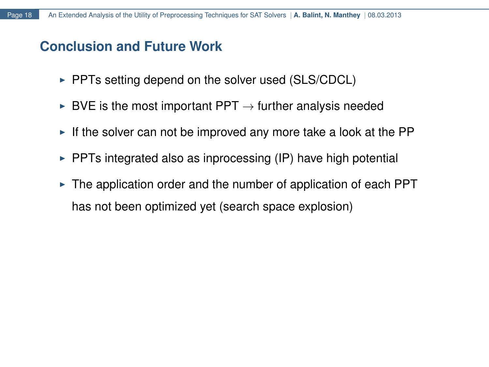- $\triangleright$  PPTs setting depend on the solver used (SLS/CDCL)
- $\triangleright$  BVE is the most important PPT  $\rightarrow$  further analysis needed
- $\blacktriangleright$  If the solver can not be improved any more take a look at the PP
- $\triangleright$  PPTs integrated also as inprocessing (IP) have high potential
- $\triangleright$  The application order and the number of application of each PPT has not been optimized yet (search space explosion)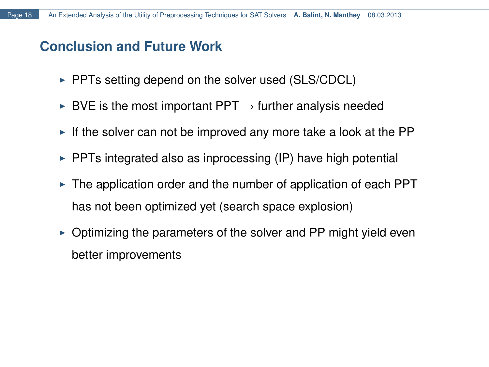- $\triangleright$  PPTs setting depend on the solver used (SLS/CDCL)
- $\triangleright$  BVE is the most important PPT  $\rightarrow$  further analysis needed
- $\blacktriangleright$  If the solver can not be improved any more take a look at the PP
- $\triangleright$  PPTs integrated also as inprocessing (IP) have high potential
- $\triangleright$  The application order and the number of application of each PPT has not been optimized yet (search space explosion)
- $\triangleright$  Optimizing the parameters of the solver and PP might yield even better improvements